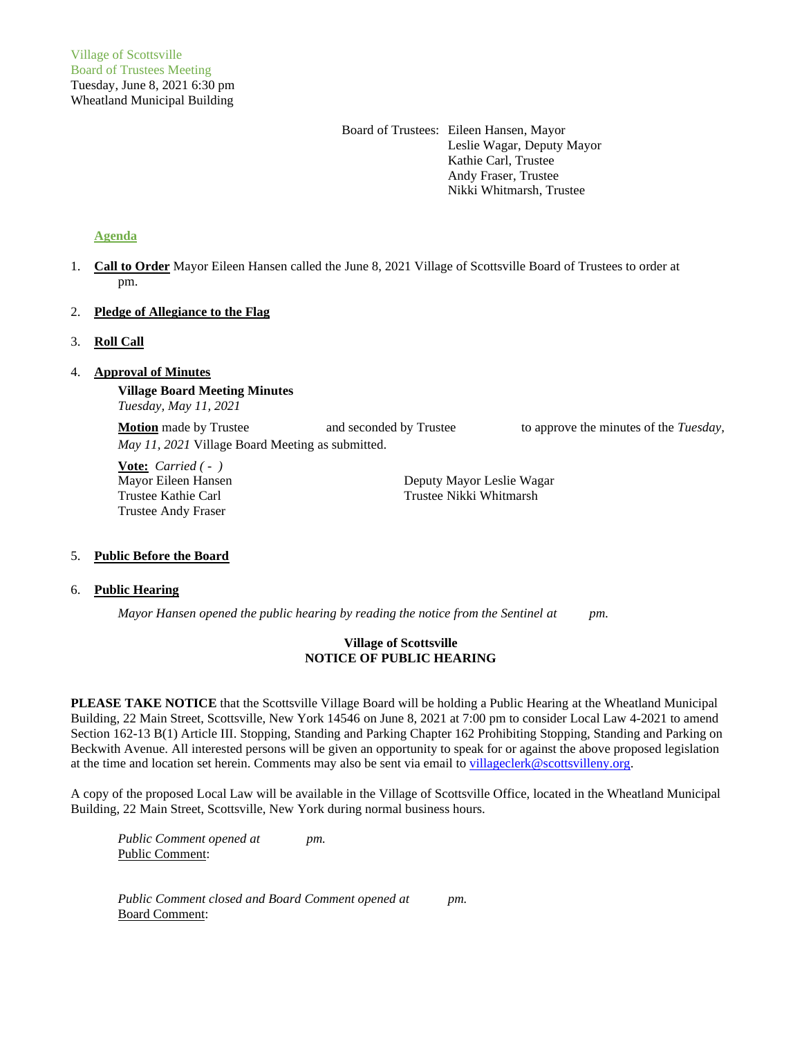Board of Trustees: Eileen Hansen, Mayor Leslie Wagar, Deputy Mayor Kathie Carl, Trustee Andy Fraser, Trustee Nikki Whitmarsh, Trustee

# **Agenda**

1. **Call to Order** Mayor Eileen Hansen called the June 8, 2021 Village of Scottsville Board of Trustees to order at pm.

# 2. **Pledge of Allegiance to the Flag**

3. **Roll Call**

# 4. **Approval of Minutes**

**Village Board Meeting Minutes** *Tuesday, May 11, 2021*

**Motion** made by Trustee and seconded by Trustee to approve the minutes of the *Tuesday*, *May 11, 2021* Village Board Meeting as submitted.

**Vote:** *Carried ( - )* Trustee Andy Fraser

Mayor Eileen Hansen Deputy Mayor Leslie Wagar Trustee Kathie Carl Trustee Nikki Whitmarsh

### 5. **Public Before the Board**

### 6. **Public Hearing**

*Mayor Hansen opened the public hearing by reading the notice from the Sentinel at pm.*

### **Village of Scottsville NOTICE OF PUBLIC HEARING**

**PLEASE TAKE NOTICE** that the Scottsville Village Board will be holding a Public Hearing at the Wheatland Municipal Building, 22 Main Street, Scottsville, New York 14546 on June 8, 2021 at 7:00 pm to consider Local Law 4-2021 to amend Section 162-13 B(1) Article III. Stopping, Standing and Parking Chapter 162 Prohibiting Stopping, Standing and Parking on Beckwith Avenue. All interested persons will be given an opportunity to speak for or against the above proposed legislation at the time and location set herein. Comments may also be sent via email to [villageclerk@scottsvilleny.org.](mailto:villageclerk@scottsvilleny.org)

A copy of the proposed Local Law will be available in the Village of Scottsville Office, located in the Wheatland Municipal Building, 22 Main Street, Scottsville, New York during normal business hours.

*Public Comment opened at pm.* Public Comment:

*Public Comment closed and Board Comment opened at pm.* Board Comment: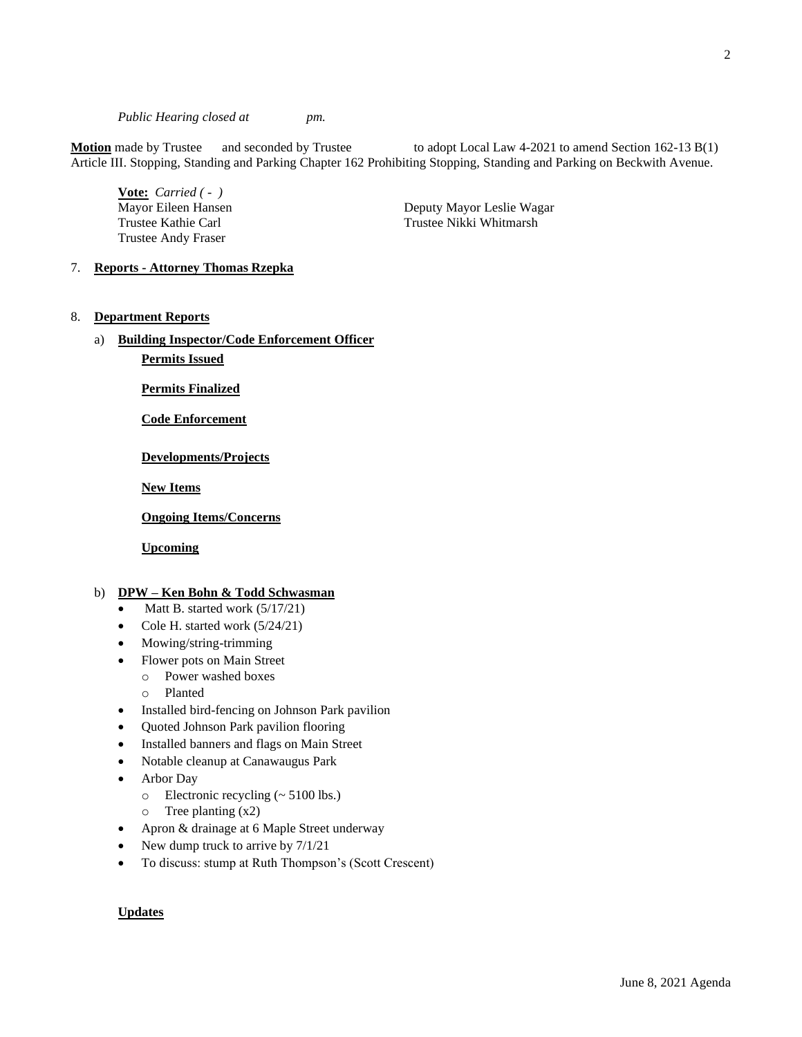*Public Hearing closed at pm.*

**Motion** made by Trustee and seconded by Trustee to adopt Local Law 4-2021 to amend Section 162-13 B(1) Article III. Stopping, Standing and Parking Chapter 162 Prohibiting Stopping, Standing and Parking on Beckwith Avenue.

**Vote:** *Carried ( - )* Trustee Andy Fraser

Mayor Eileen Hansen **Deputy Mayor Leslie Wagar** Trustee Kathie Carl Trustee Nikki Whitmarsh

7. **Reports - Attorney Thomas Rzepka**

### 8. **Department Reports**

a) **Building Inspector/Code Enforcement Officer**

**Permits Issued**

**Permits Finalized**

**Code Enforcement**

**Developments/Projects**

**New Items**

**Ongoing Items/Concerns**

**Upcoming**

# b) **DPW – Ken Bohn & Todd Schwasman**

- Matt B. started work (5/17/21)
- Cole H. started work (5/24/21)
- Mowing/string-trimming
- Flower pots on Main Street
	- o Power washed boxes
	- o Planted
- Installed bird-fencing on Johnson Park pavilion
- Quoted Johnson Park pavilion flooring
- Installed banners and flags on Main Street
- Notable cleanup at Canawaugus Park
- Arbor Day
	- o Electronic recycling (~ 5100 lbs.)
	- $\circ$  Tree planting  $(x2)$
- Apron & drainage at 6 Maple Street underway
- New dump truck to arrive by  $7/1/21$
- To discuss: stump at Ruth Thompson's (Scott Crescent)

#### **Updates**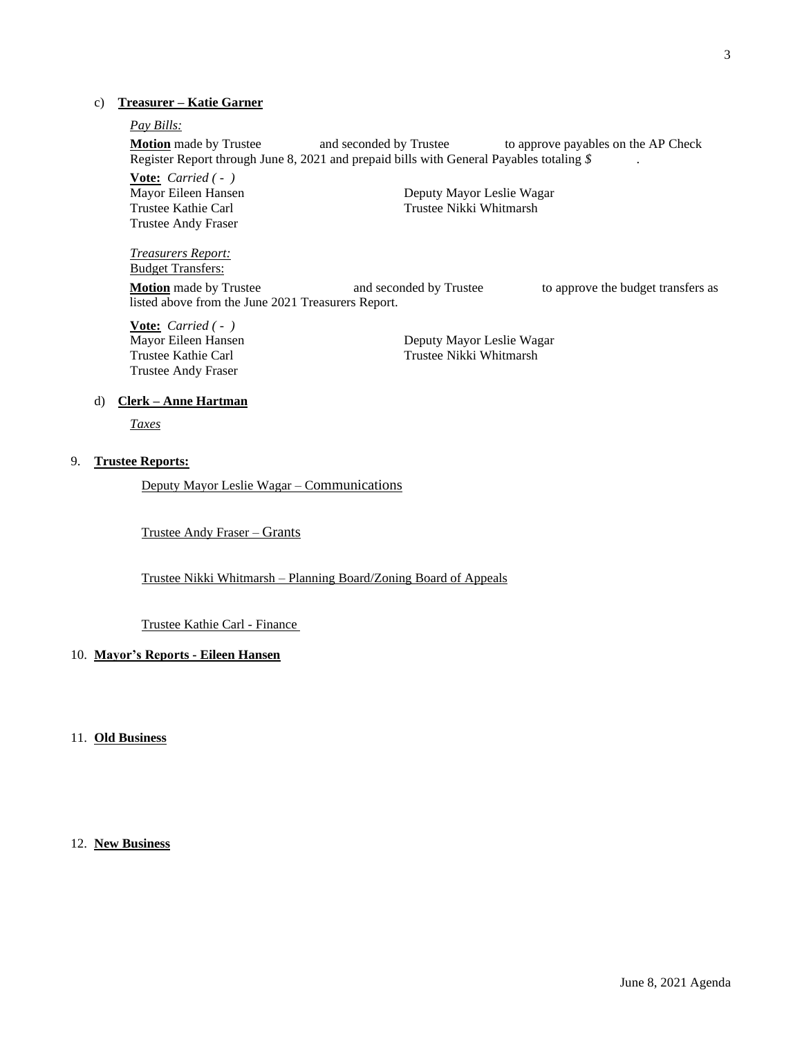## c) **Treasurer – Katie Garner**

# *Pay Bills:*

**Motion** made by Trustee and seconded by Trustee to approve payables on the AP Check Register Report through June 8, 2021 and prepaid bills with General Payables totaling *\$* .

**Vote:** *Carried ( - )* Trustee Andy Fraser

Deputy Mayor Leslie Wagar Trustee Kathie Carl Trustee Nikki Whitmarsh

# *Treasurers Report:*

Budget Transfers: **Motion** made by Trustee **and seconded by Trustee** to approve the budget transfers as listed above from the June 2021 Treasurers Report.

**Vote:** *Carried ( - )* Trustee Andy Fraser

Deputy Mayor Leslie Wagar Trustee Kathie Carl Trustee Nikki Whitmarsh

#### d) **Clerk – Anne Hartman**

*Taxes*

# 9. **Trustee Reports:**

Deputy Mayor Leslie Wagar – Communications

Trustee Andy Fraser – Grants

Trustee Nikki Whitmarsh – Planning Board/Zoning Board of Appeals

#### Trustee Kathie Carl - Finance

# 10. **Mayor's Reports - Eileen Hansen**

# 11. **Old Business**

### 12. **New Business**